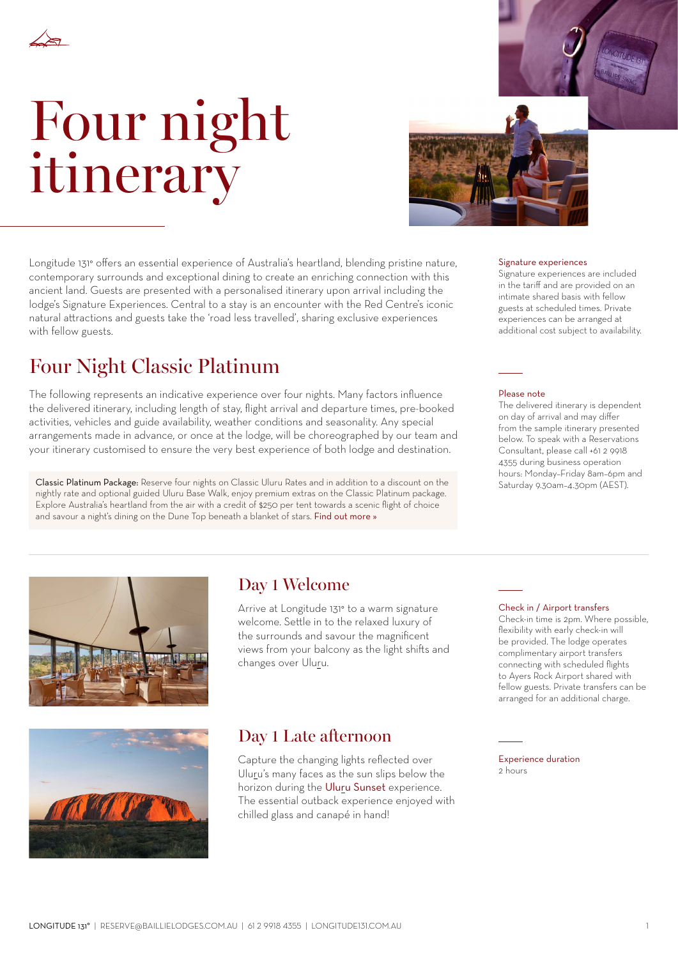

# Four night itinerary



Longitude 131° offers an essential experience of Australia's heartland, blending pristine nature, contemporary surrounds and exceptional dining to create an enriching connection with this ancient land. Guests are presented with a personalised itinerary upon arrival including the lodge's Signature Experiences. Central to a stay is an encounter with the Red Centre's iconic natural attractions and guests take the 'road less travelled', sharing exclusive experiences with fellow guests.

## Four Night Classic Platinum

The following represents an indicative experience over four nights. Many factors influence the delivered itinerary, including length of stay, flight arrival and departure times, pre-booked activities, vehicles and guide availability, weather conditions and seasonality. Any special arrangements made in advance, or once at the lodge, will be choreographed by our team and your itinerary customised to ensure the very best experience of both lodge and destination.

Classic Platinum Package: Reserve four nights on Classic Uluru Rates and in addition to a discount on the nightly rate and optional guided Uluru Base Walk, enjoy premium extras on the Classic Platinum package. Explore Australia's heartland from the air with a credit of \$250 per tent towards a scenic flight of choice and savour a night's dining on the Dune Top beneath a blanket of stars. [Find out more »](https://longitude131.com.au/rates-packages/)

#### Signature experiences

Signature experiences are included in the tariff and are provided on an intimate shared basis with fellow guests at scheduled times. Private experiences can be arranged at additional cost subject to availability.

#### Please note

The delivered itinerary is dependent on day of arrival and may differ from the sample itinerary presented below. To speak with a Reservations Consultant, please call +61 2 9918 4355 during business operation hours: Monday–Friday 8am–6pm and Saturday 9.30am–4.30pm (AEST).





## Day 1 Welcome

Arrive at Longitude 131° to a warm signature welcome. Settle in to the relaxed luxury of the surrounds and savour the magnificent views from your balcony as the light shifts and changes over Uluru.

#### Check in / Airport transfers

Check-in time is 2pm. Where possible, flexibility with early check-in will be provided. The lodge operates complimentary airport transfers connecting with scheduled flights to Ayers Rock Airport shared with fellow guests. Private transfers can be arranged for an additional charge.

## Day 1 Late afternoon

Capture the changing lights reflected over Uluru's many faces as the sun slips below the horizon during the [Uluru Sunset](https://longitude131.com.au/experience/uluru-sunset/) experience. The essential outback experience enjoyed with chilled glass and canapé in hand!

Experience duration 2 hours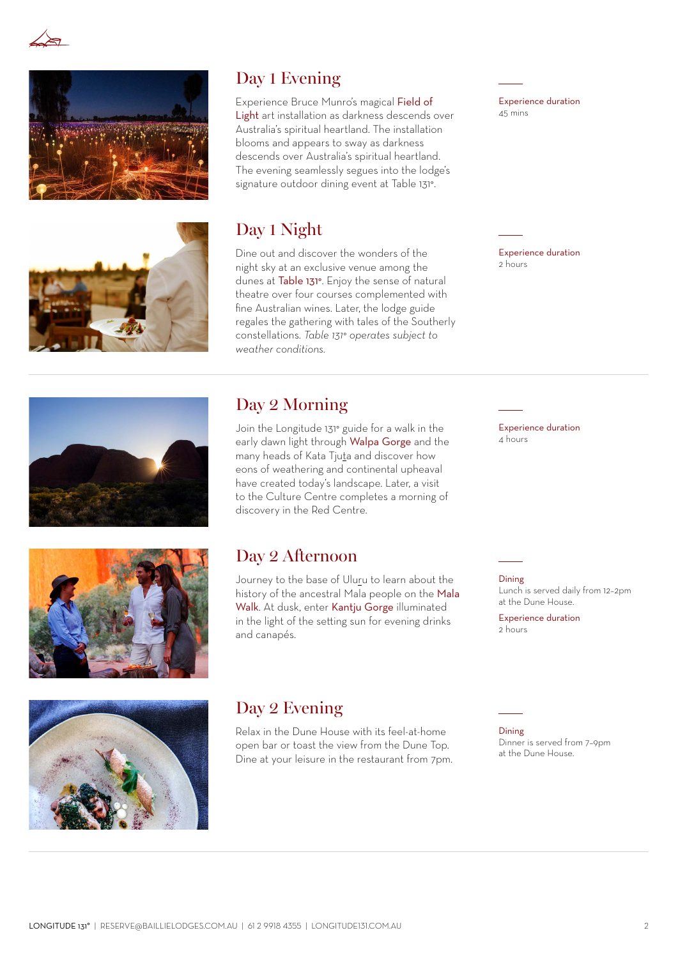



## Day 1 Evening

Experience Bruce Munro's magical [Field of](https://longitude131.com.au/experience/field-of-light/)  [Light](https://longitude131.com.au/experience/field-of-light/) art installation as darkness descends over Australia's spiritual heartland. The installation blooms and appears to sway as darkness descends over Australia's spiritual heartland. The evening seamlessly segues into the lodge's signature outdoor dining event at Table 131°.

## Day 1 Night

Dine out and discover the wonders of the night sky at an exclusive venue among the dunes at [Table 131°](https://longitude131.com.au/experience/table-131/). Enjoy the sense of natural theatre over four courses complemented with fine Australian wines. Later, the lodge guide regales the gathering with tales of the Southerly constellations. *Table 131° operates subject to weather conditions.*

Experience duration 45 mins

Experience duration 2 hours







Join the Longitude 131° guide for a walk in the early dawn light through [Walpa Gorge](https://longitude131.com.au/experience/walpa-gorge-kata-tjuta/) and the many heads of Kata Tjuta and discover how eons of weathering and continental upheaval have created today's landscape. Later, a visit to the Culture Centre completes a morning of discovery in the Red Centre.

## Day 2 Afternoon

Journey to the base of Uluru to learn about the history of the ancestral Mala people on the [Mala](https://longitude131.com.au/experience/mala-walk-and-kantju-gorge/)  [Walk](https://longitude131.com.au/experience/mala-walk-and-kantju-gorge/). At dusk, enter [Kantju Gorge](https://longitude131.com.au/experience/mala-walk-and-kantju-gorge/) illuminated in the light of the setting sun for evening drinks and canapés.

Experience duration 4 hours

Dining

Lunch is served daily from 12–2pm at the Dune House.

Experience duration 2 hours



## Day 2 Evening

Relax in the Dune House with its feel-at-home open bar or toast the view from the Dune Top. Dine at your leisure in the restaurant from 7pm. Dining Dinner is served from 7–9pm at the Dune House.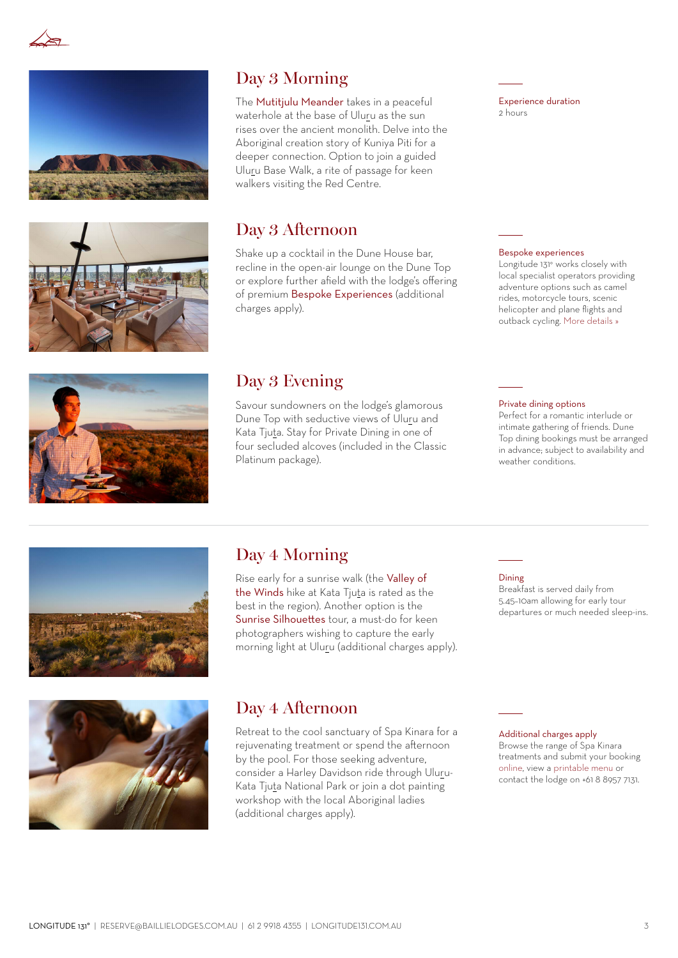





The [Mutitjulu Meander](https://longitude131.com.au/experience/mutitjulu-meander/) takes in a peaceful waterhole at the base of Uluru as the sun rises over the ancient monolith. Delve into the Aboriginal creation story of Kuniya Piti for a deeper connection. Option to join a guided Uluru Base Walk, a rite of passage for keen walkers visiting the Red Centre.

## Day 3 Afternoon

Shake up a cocktail in the Dune House bar, recline in the open-air lounge on the Dune Top or explore further afield with the lodge's offering of premium [Bespoke Experiences](https://longitude131.com.au/experience/#bespoke-experiences) (additional charges apply).

## Day 3 Evening

Savour sundowners on the lodge's glamorous Dune Top with seductive views of Uluru and Kata Tjuta. Stay for Private Dining in one of four secluded alcoves (included in the Classic Platinum package).

#### Experience duration 2 hours

#### Bespoke experiences

Longitude 131° works closely with local specialist operators providing adventure options such as camel rides, motorcycle tours, scenic helicopter and plane flights and outback cycling. [More details »](https://longitude131.com.au/experience/#bespoke-experiences)



### Private dining options

Perfect for a romantic interlude or intimate gathering of friends. Dune Top dining bookings must be arranged in advance; subject to availability and weather conditions.



## Day 4 Morning

Rise early for a sunrise walk (the [Valley of](https://longitude131.com.au/experience/valley-of-the-winds/)  [the Winds](https://longitude131.com.au/experience/valley-of-the-winds/) hike at Kata Tjuta is rated as the best in the region). Another option is the [Sunrise Silhouettes](https://longitude131.com.au/experience/sunrise-silhouettes/) tour, a must-do for keen photographers wishing to capture the early morning light at Uluru (additional charges apply).

#### Dining

Breakfast is served daily from 5.45–10am allowing for early tour departures or much needed sleep-ins.



## Day 4 Afternoon

Retreat to the cool sanctuary of Spa Kinara for a rejuvenating treatment or spend the afternoon by the pool. For those seeking adventure, consider a Harley Davidson ride through Uluru-Kata Tjuta National Park or join a dot painting workshop with the local Aboriginal ladies (additional charges apply).

#### Additional charges apply

Browse the range of Spa Kinara treatments and submit your booking [online,](https://longitude131.com.au/spa/#spa-menu) view a [printable menu](https://longitude131.com.au/spa-menu-brochure/) or contact the lodge on +61 8 8957 7131.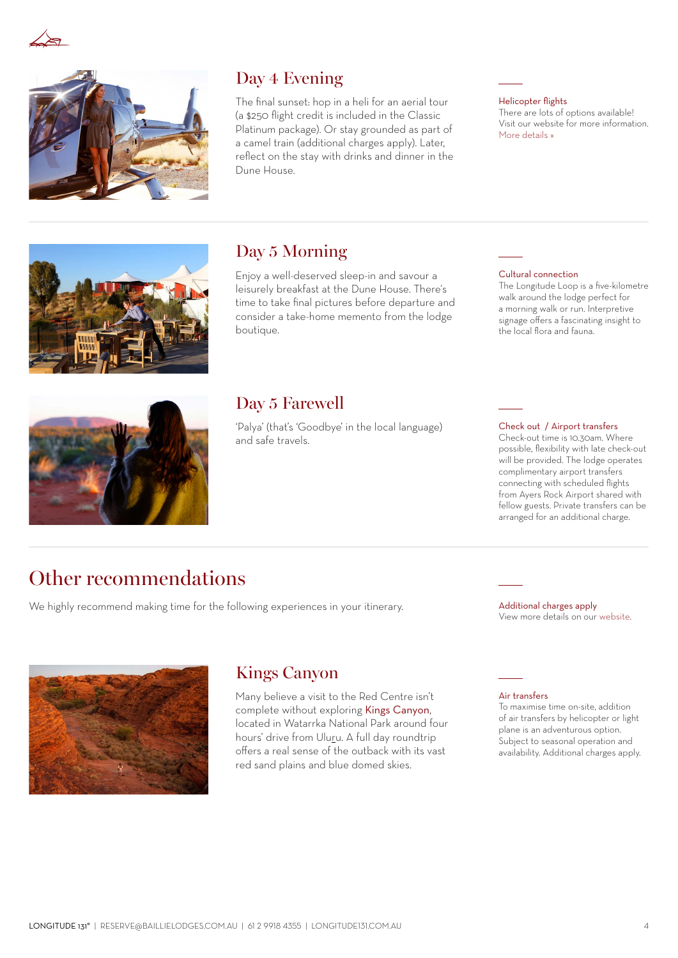



## Day 4 Evening

The final sunset: hop in a heli for an aerial tour (a \$250 flight credit is included in the Classic Platinum package). Or stay grounded as part of a camel train (additional charges apply). Later, reflect on the stay with drinks and dinner in the Dune House.

#### Helicopter flights

There are lots of options available! Visit our website for more information. [More details »](https://longitude131.com.au/downloads/)



## Day 5 Morning

Enjoy a well-deserved sleep-in and savour a leisurely breakfast at the Dune House. There's time to take final pictures before departure and consider a take-home memento from the lodge boutique.

#### Cultural connection

The Longitude Loop is a five-kilometre walk around the lodge perfect for a morning walk or run. Interpretive signage offers a fascinating insight to the local flora and fauna.



## Day 5 Farewell

'Palya' (that's 'Goodbye' in the local language) and safe travels.

#### Check out / Airport transfers

Check-out time is 10.30am. Where possible, flexibility with late check-out will be provided. The lodge operates complimentary airport transfers connecting with scheduled flights from Ayers Rock Airport shared with fellow guests. Private transfers can be arranged for an additional charge.

## Other recommendations

We highly recommend making time for the following experiences in your itinerary. Additional charges apply

View more details on our [website](https://longitude131.com.au/experience/#bespoke-experiences).



## Kings Canyon

Many believe a visit to the Red Centre isn't complete without exploring [Kings Canyon](https://longitude131.com.au/experience/kings-canyon/), located in Watarrka National Park around four hours' drive from Uluru. A full day roundtrip offers a real sense of the outback with its vast red sand plains and blue domed skies.

Air transfers

To maximise time on-site, addition of air transfers by helicopter or light plane is an adventurous option. .<br>Subject to seasonal operation and availability. Additional charges apply.